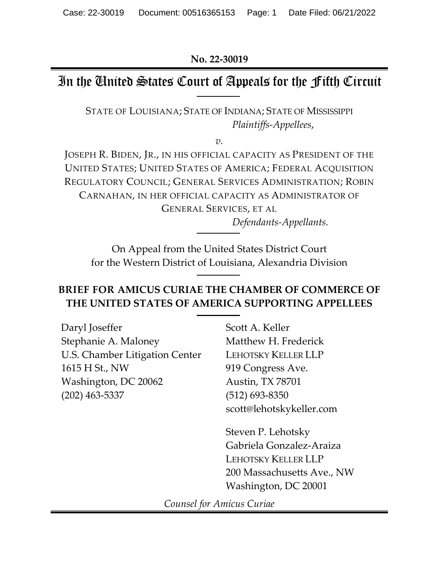**No. 22-30019** 

# In the United States Court of Appeals for the Fifth Circuit

STATE OF LOUISIANA; STATE OF INDIANA; STATE OF MISSISSIPPI *Plaintiffs-Appellees*,

*v.* 

JOSEPH R. BIDEN, JR., IN HIS OFFICIAL CAPACITY AS PRESIDENT OF THE UNITED STATES; UNITED STATES OF AMERICA; FEDERAL ACQUISITION REGULATORY COUNCIL; GENERAL SERVICES ADMINISTRATION; ROBIN CARNAHAN, IN HER OFFICIAL CAPACITY AS ADMINISTRATOR OF GENERAL SERVICES, ET AL

*Defendants-Appellants.* 

On Appeal from the United States District Court for the Western District of Louisiana, Alexandria Division

## **BRIEF FOR AMICUS CURIAE THE CHAMBER OF COMMERCE OF THE UNITED STATES OF AMERICA SUPPORTING APPELLEES**

 $\overline{a}$ 

Daryl Joseffer Stephanie A. Maloney U.S. Chamber Litigation Center 1615 H St., NW Washington, DC 20062 (202) 463-5337

Scott A. Keller Matthew H. Frederick LEHOTSKY KELLER LLP 919 Congress Ave. Austin, TX 78701 (512) 693-8350 scott@lehotskykeller.com

Steven P. Lehotsky Gabriela Gonzalez-Araiza LEHOTSKY KELLER LLP 200 Massachusetts Ave., NW Washington, DC 20001

*Counsel for Amicus Curiae*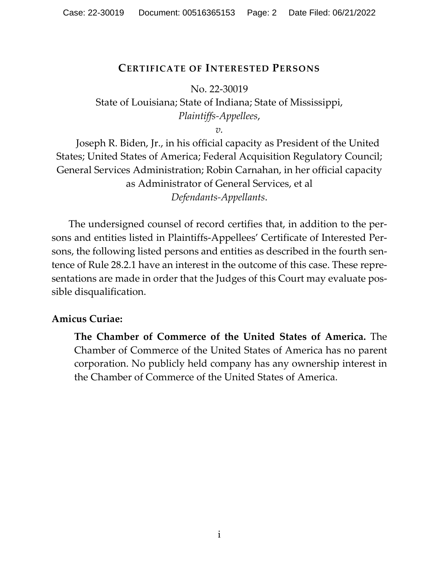## **CERTIFICATE OF INTERESTED PERSONS**

<span id="page-1-0"></span>No. 22-30019 State of Louisiana; State of Indiana; State of Mississippi, *Plaintiffs-Appellees*,

*v.*

Joseph R. Biden, Jr., in his official capacity as President of the United States; United States of America; Federal Acquisition Regulatory Council; General Services Administration; Robin Carnahan, in her official capacity as Administrator of General Services, et al *Defendants-Appellants*.

 The undersigned counsel of record certifies that, in addition to the persons and entities listed in Plaintiffs-Appellees' Certificate of Interested Persons, the following listed persons and entities as described in the fourth sentence of Rule 28.2.1 have an interest in the outcome of this case. These representations are made in order that the Judges of this Court may evaluate possible disqualification.

## **Amicus Curiae:**

**The Chamber of Commerce of the United States of America.** The Chamber of Commerce of the United States of America has no parent corporation. No publicly held company has any ownership interest in the Chamber of Commerce of the United States of America.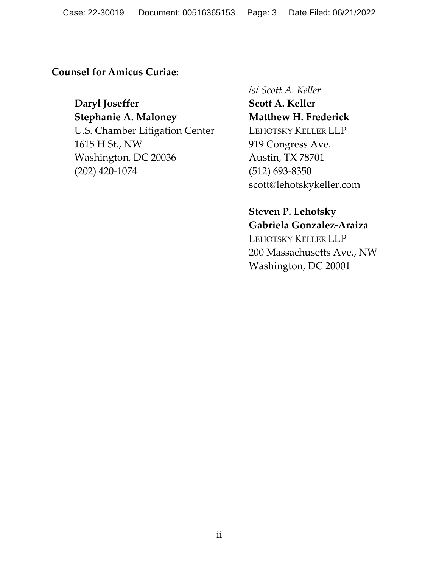**Counsel for Amicus Curiae:** 

**Daryl Joseffer Stephanie A. Maloney**  U.S. Chamber Litigation Center 1615 H St., NW Washington, DC 20036 (202) 420-1074

### */s/ Scott A. Keller*

**Scott A. Keller Matthew H. Frederick**  LEHOTSKY KELLER LLP 919 Congress Ave. Austin, TX 78701 (512) 693-8350 scott@lehotskykeller.com

## **Steven P. Lehotsky Gabriela Gonzalez-Araiza**

LEHOTSKY KELLER LLP 200 Massachusetts Ave., NW Washington, DC 20001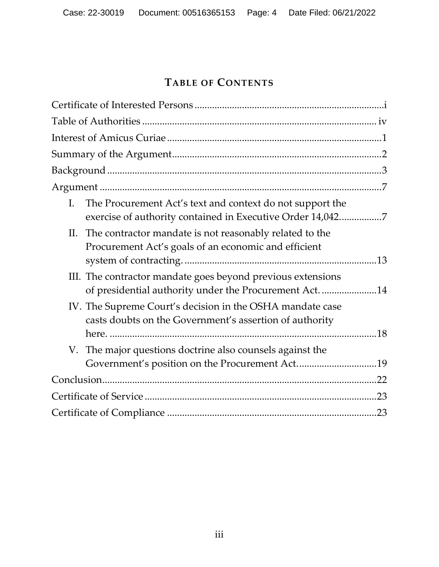# **TABLE OF CONTENTS**

| I. | The Procurement Act's text and context do not support the<br>exercise of authority contained in Executive Order 14,0427 |     |
|----|-------------------------------------------------------------------------------------------------------------------------|-----|
| П. | The contractor mandate is not reasonably related to the<br>Procurement Act's goals of an economic and efficient         |     |
|    | III. The contractor mandate goes beyond previous extensions<br>of presidential authority under the Procurement Act. 14  |     |
|    | IV. The Supreme Court's decision in the OSHA mandate case<br>casts doubts on the Government's assertion of authority    |     |
|    | V. The major questions doctrine also counsels against the<br>Government's position on the Procurement Act19             |     |
|    |                                                                                                                         |     |
|    |                                                                                                                         | .23 |
|    |                                                                                                                         | .23 |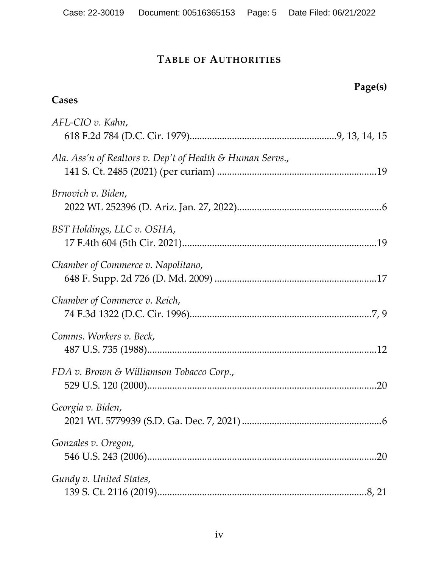# **TABLE OF AUTHORITIES**

<span id="page-4-0"></span>

| Page(s)                                                   |     |
|-----------------------------------------------------------|-----|
| Cases                                                     |     |
| AFL-CIO v. Kahn,                                          |     |
| Ala. Ass'n of Realtors v. Dep't of Health & Human Servs., |     |
| Brnovich v. Biden,                                        |     |
| BST Holdings, LLC v. OSHA,                                |     |
| Chamber of Commerce v. Napolitano,                        |     |
| Chamber of Commerce v. Reich,                             |     |
| Comms. Workers v. Beck,                                   |     |
| FDA v. Brown & Williamson Tobacco Corp.,                  |     |
| Georgia v. Biden,                                         |     |
| Gonzales v. Oregon,                                       | .20 |
| Gundy v. United States,                                   |     |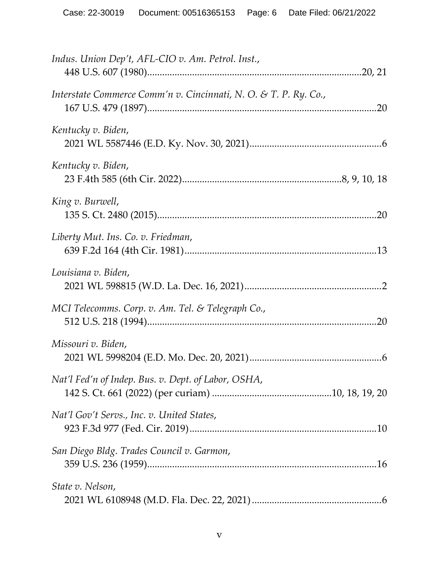| Indus. Union Dep't, AFL-CIO v. Am. Petrol. Inst.,                |
|------------------------------------------------------------------|
| Interstate Commerce Comm'n v. Cincinnati, N. O. & T. P. Ry. Co., |
| Kentucky v. Biden,                                               |
| Kentucky v. Biden,                                               |
| King v. Burwell,                                                 |
| Liberty Mut. Ins. Co. v. Friedman,                               |
| Louisiana v. Biden,                                              |
| MCI Telecomms. Corp. v. Am. Tel. & Telegraph Co.,                |
| Missouri v. Biden,                                               |
| Nat'l Fed'n of Indep. Bus. v. Dept. of Labor, OSHA,              |
| Nat'l Gov't Servs., Inc. v. United States,                       |
| San Diego Bldg. Trades Council v. Garmon,                        |
| State v. Nelson,                                                 |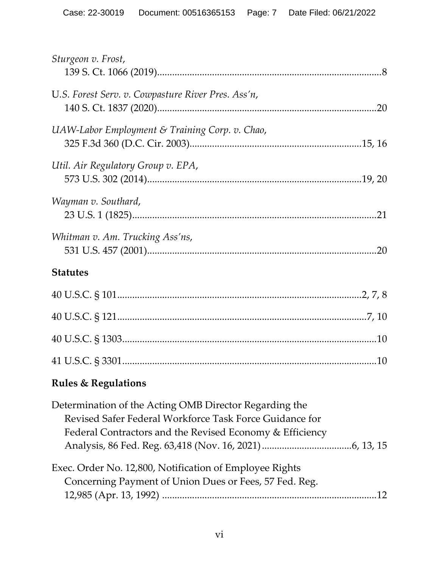| Sturgeon v. Frost,                                                                                                                                                            |
|-------------------------------------------------------------------------------------------------------------------------------------------------------------------------------|
| U.S. Forest Serv. v. Cowpasture River Pres. Ass'n,                                                                                                                            |
| UAW-Labor Employment & Training Corp. v. Chao,                                                                                                                                |
| Util. Air Regulatory Group v. EPA,                                                                                                                                            |
| Wayman v. Southard,                                                                                                                                                           |
| Whitman v. Am. Trucking Ass'ns,                                                                                                                                               |
| <b>Statutes</b>                                                                                                                                                               |
|                                                                                                                                                                               |
|                                                                                                                                                                               |
|                                                                                                                                                                               |
|                                                                                                                                                                               |
| <b>Rules &amp; Regulations</b>                                                                                                                                                |
| Determination of the Acting OMB Director Regarding the<br>Revised Safer Federal Workforce Task Force Guidance for<br>Federal Contractors and the Revised Economy & Efficiency |
| Exec. Order No. 12,800, Notification of Employee Rights                                                                                                                       |

| Concerning Payment of Union Dues or Fees, 57 Fed. Reg. |  |
|--------------------------------------------------------|--|
|                                                        |  |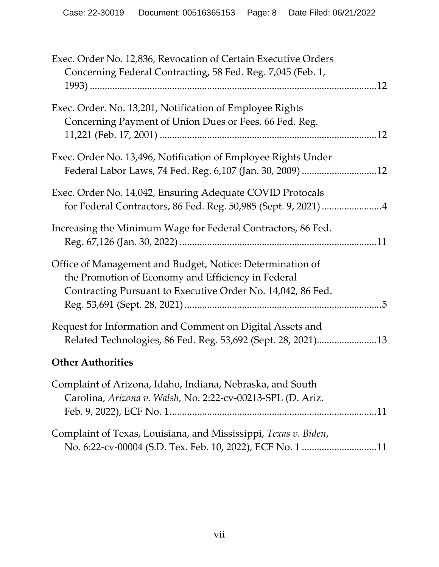| Exec. Order No. 12,836, Revocation of Certain Executive Orders  |
|-----------------------------------------------------------------|
| Concerning Federal Contracting, 58 Fed. Reg. 7,045 (Feb. 1,     |
|                                                                 |
| Exec. Order. No. 13,201, Notification of Employee Rights        |
| Concerning Payment of Union Dues or Fees, 66 Fed. Reg.          |
|                                                                 |
|                                                                 |
| Exec. Order No. 13,496, Notification of Employee Rights Under   |
| Federal Labor Laws, 74 Fed. Reg. 6,107 (Jan. 30, 2009) 12       |
| Exec. Order No. 14,042, Ensuring Adequate COVID Protocals       |
| for Federal Contractors, 86 Fed. Reg. 50,985 (Sept. 9, 2021) 4  |
| Increasing the Minimum Wage for Federal Contractors, 86 Fed.    |
|                                                                 |
|                                                                 |
| Office of Management and Budget, Notice: Determination of       |
| the Promotion of Economy and Efficiency in Federal              |
| Contracting Pursuant to Executive Order No. 14,042, 86 Fed.     |
|                                                                 |
| Request for Information and Comment on Digital Assets and       |
| Related Technologies, 86 Fed. Reg. 53,692 (Sept. 28, 2021)13    |
|                                                                 |
| <b>Other Authorities</b>                                        |
| Complaint of Arizona, Idaho, Indiana, Nebraska, and South       |
| Carolina, Arizona v. Walsh, No. 2:22-cv-00213-SPL (D. Ariz.     |
|                                                                 |
| Complaint of Texas, Louisiana, and Mississippi, Texas v. Biden, |
| No. 6:22-cv-00004 (S.D. Tex. Feb. 10, 2022), ECF No. 1 11       |
|                                                                 |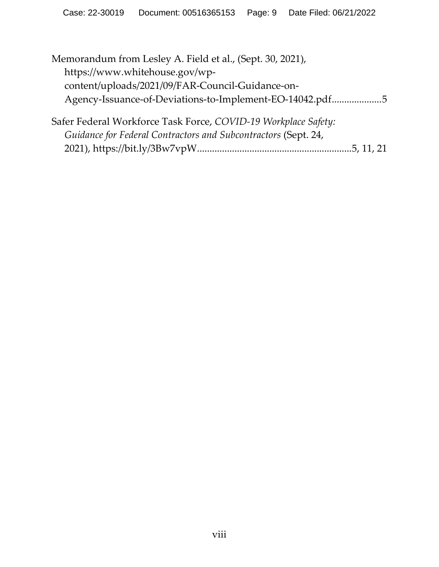| Memorandum from Lesley A. Field et al., (Sept. 30, 2021),      |
|----------------------------------------------------------------|
| https://www.whitehouse.gov/wp-                                 |
| content/uploads/2021/09/FAR-Council-Guidance-on-               |
| Agency-Issuance-of-Deviations-to-Implement-EO-14042.pdf5       |
| Safer Federal Workforce Task Force, COVID-19 Workplace Safety: |
| Guidance for Federal Contractors and Subcontractors (Sept. 24, |

2021), https://bit.ly/3Bw7vpW ........................................................[......](#page-13-2) [5, 1](#page-19-3)[1, 21](#page-29-3)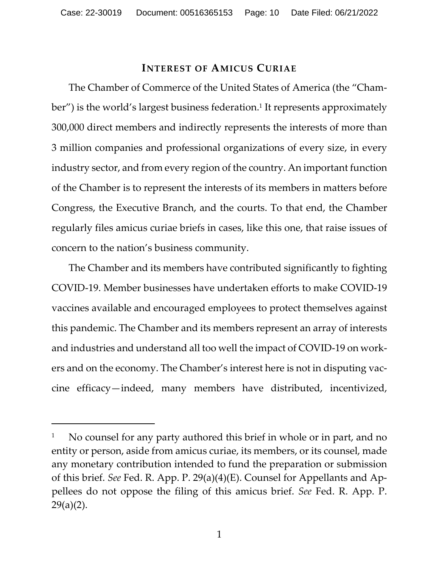### **INTEREST OF AMICUS CURIAE**

<span id="page-9-0"></span> The Chamber of Commerce of the United States of America (the "Cham-ber") is the world's largest business federation.<sup>[1](#page-9-1)</sup> It represents approximately 300,000 direct members and indirectly represents the interests of more than 3 million companies and professional organizations of every size, in every industry sector, and from every region of the country. An important function of the Chamber is to represent the interests of its members in matters before Congress, the Executive Branch, and the courts. To that end, the Chamber regularly files amicus curiae briefs in cases, like this one, that raise issues of concern to the nation's business community.

 The Chamber and its members have contributed significantly to fighting COVID-19. Member businesses have undertaken efforts to make COVID-19 vaccines available and encouraged employees to protect themselves against this pandemic. The Chamber and its members represent an array of interests and industries and understand all too well the impact of COVID-19 on workers and on the economy. The Chamber's interest here is not in disputing vaccine efficacy—indeed, many members have distributed, incentivized,

<span id="page-9-1"></span><sup>1</sup> No counsel for any party authored this brief in whole or in part, and no entity or person, aside from amicus curiae, its members, or its counsel, made any monetary contribution intended to fund the preparation or submission of this brief. *See* Fed. R. App. P. 29(a)(4)(E). Counsel for Appellants and Appellees do not oppose the filing of this amicus brief. *See* Fed. R. App. P.  $29(a)(2)$ .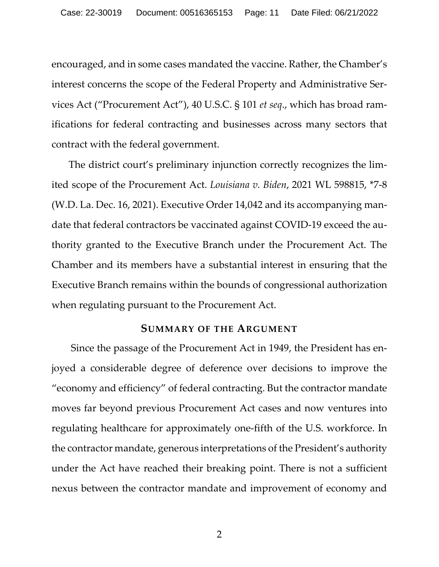<span id="page-10-2"></span>encouraged, and in some cases mandated the vaccine. Rather, the Chamber's interest concerns the scope of the Federal Property and Administrative Services Act ("Procurement Act"), 40 U.S.C. § 101 *et seq*., which has broad ramifications for federal contracting and businesses across many sectors that contract with the federal government.

<span id="page-10-1"></span>The district court's preliminary injunction correctly recognizes the limited scope of the Procurement Act. *Louisiana v. Biden*, 2021 WL 598815, \*7-8 (W.D. La. Dec. 16, 2021). Executive Order 14,042 and its accompanying mandate that federal contractors be vaccinated against COVID-19 exceed the authority granted to the Executive Branch under the Procurement Act. The Chamber and its members have a substantial interest in ensuring that the Executive Branch remains within the bounds of congressional authorization when regulating pursuant to the Procurement Act.

### **SUMMARY OF THE ARGUMENT**

<span id="page-10-0"></span>Since the passage of the Procurement Act in 1949, the President has enjoyed a considerable degree of deference over decisions to improve the "economy and efficiency" of federal contracting. But the contractor mandate moves far beyond previous Procurement Act cases and now ventures into regulating healthcare for approximately one-fifth of the U.S. workforce. In the contractor mandate, generous interpretations of the President's authority under the Act have reached their breaking point. There is not a sufficient nexus between the contractor mandate and improvement of economy and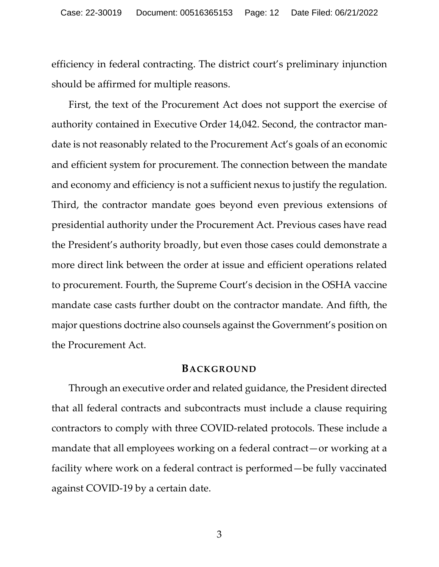efficiency in federal contracting. The district court's preliminary injunction should be affirmed for multiple reasons.

First, the text of the Procurement Act does not support the exercise of authority contained in Executive Order 14,042. Second, the contractor mandate is not reasonably related to the Procurement Act's goals of an economic and efficient system for procurement. The connection between the mandate and economy and efficiency is not a sufficient nexus to justify the regulation. Third, the contractor mandate goes beyond even previous extensions of presidential authority under the Procurement Act. Previous cases have read the President's authority broadly, but even those cases could demonstrate a more direct link between the order at issue and efficient operations related to procurement. Fourth, the Supreme Court's decision in the OSHA vaccine mandate case casts further doubt on the contractor mandate. And fifth, the major questions doctrine also counsels against the Government's position on the Procurement Act.

#### **BACKGROUND**

<span id="page-11-0"></span> Through an executive order and related guidance, the President directed that all federal contracts and subcontracts must include a clause requiring contractors to comply with three COVID-related protocols. These include a mandate that all employees working on a federal contract—or working at a facility where work on a federal contract is performed—be fully vaccinated against COVID-19 by a certain date.

3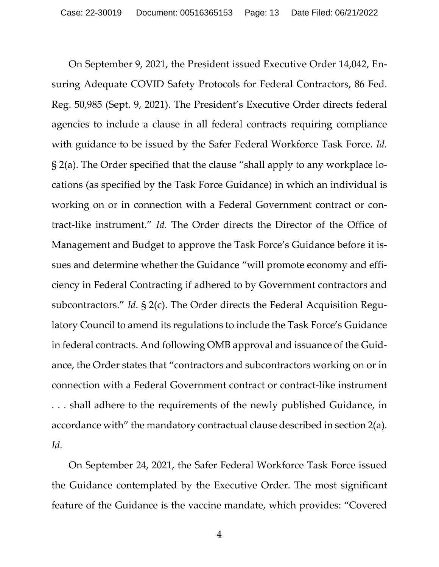On September 9, 2021, the President issued Executive Order 14,042, Ensuring Adequate COVID Safety Protocols for Federal Contractors, 86 Fed. Reg. 50,985 (Sept. 9, 2021). The President's Executive Order directs federal agencies to include a clause in all federal contracts requiring compliance with guidance to be issued by the Safer Federal Workforce Task Force. *Id.* § 2(a). The Order specified that the clause "shall apply to any workplace locations (as specified by the Task Force Guidance) in which an individual is working on or in connection with a Federal Government contract or contract-like instrument." *Id.* The Order directs the Director of the Office of Management and Budget to approve the Task Force's Guidance before it issues and determine whether the Guidance "will promote economy and efficiency in Federal Contracting if adhered to by Government contractors and subcontractors." *Id.* § 2(c). The Order directs the Federal Acquisition Regulatory Council to amend its regulations to include the Task Force's Guidance in federal contracts. And following OMB approval and issuance of the Guidance, the Order states that "contractors and subcontractors working on or in connection with a Federal Government contract or contract-like instrument . . . shall adhere to the requirements of the newly published Guidance, in accordance with" the mandatory contractual clause described in section 2(a). *Id.* 

 On September 24, 2021, the Safer Federal Workforce Task Force issued the Guidance contemplated by the Executive Order. The most significant feature of the Guidance is the vaccine mandate, which provides: "Covered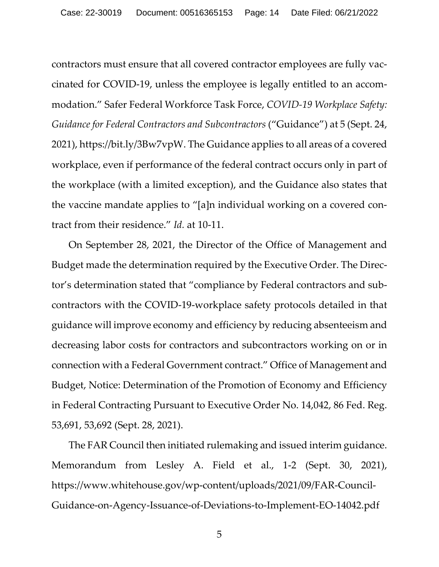<span id="page-13-2"></span>contractors must ensure that all covered contractor employees are fully vaccinated for COVID-19, unless the employee is legally entitled to an accommodation." Safer Federal Workforce Task Force, *COVID-19 Workplace Safety: Guidance for Federal Contractors and Subcontractors* ("Guidance") at 5 (Sept. 24, 2021), https://bit.ly/3Bw7vpW. The Guidance applies to all areas of a covered workplace, even if performance of the federal contract occurs only in part of the workplace (with a limited exception), and the Guidance also states that the vaccine mandate applies to "[a]n individual working on a covered contract from their residence." *Id.* at 10-11.

 On September 28, 2021, the Director of the Office of Management and Budget made the determination required by the Executive Order. The Director's determination stated that "compliance by Federal contractors and subcontractors with the COVID-19-workplace safety protocols detailed in that guidance will improve economy and efficiency by reducing absenteeism and decreasing labor costs for contractors and subcontractors working on or in connection with a Federal Government contract." Office of Management and Budget, Notice: Determination of the Promotion of Economy and Efficiency in Federal Contracting Pursuant to Executive Order No. 14,042, 86 Fed. Reg. 53,691, 53,692 (Sept. 28, 2021).

<span id="page-13-1"></span> The FAR Council then initiated rulemaking and issued interim guidance. Memorandum from Lesley A. Field et al., 1-2 (Sept. 30, 2021), https://www.whitehouse.gov/wp-content/uploads/2021/09/FAR-Council-Guidance-on-Agency-Issuance-of-Deviations-to-Implement-EO-14042.pdf

<span id="page-13-0"></span>5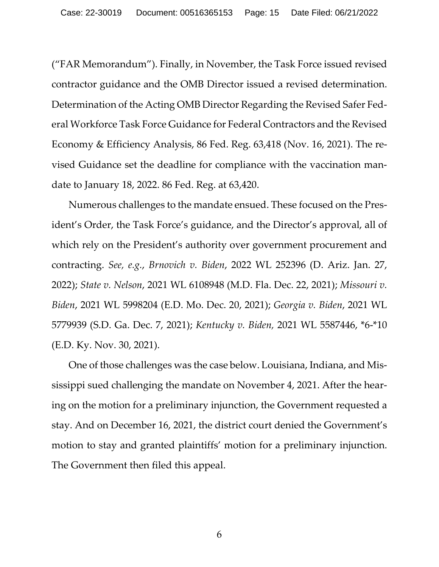<span id="page-14-5"></span>("FAR Memorandum"). Finally, in November, the Task Force issued revised contractor guidance and the OMB Director issued a revised determination. Determination of the Acting OMB Director Regarding the Revised Safer Federal Workforce Task Force Guidance for Federal Contractors and the Revised Economy & Efficiency Analysis, 86 Fed. Reg. 63,418 (Nov. 16, 2021). The revised Guidance set the deadline for compliance with the vaccination mandate to January 18, 2022. 86 Fed. Reg. at 63,420.

<span id="page-14-4"></span><span id="page-14-3"></span><span id="page-14-0"></span> Numerous challenges to the mandate ensued. These focused on the President's Order, the Task Force's guidance, and the Director's approval, all of which rely on the President's authority over government procurement and contracting. *See, e.g.*, *Brnovich v. Biden*, 2022 WL 252396 (D. Ariz. Jan. 27, 2022); *State v. Nelson*, 2021 WL 6108948 (M.D. Fla. Dec. 22, 2021); *Missouri v. Biden*, 2021 WL 5998204 (E.D. Mo. Dec. 20, 2021); *Georgia v. Biden*, 2021 WL 5779939 (S.D. Ga. Dec. 7, 2021); *Kentucky v. Biden,* 2021 WL 5587446, \*6-\*10 (E.D. Ky. Nov. 30, 2021).

<span id="page-14-2"></span><span id="page-14-1"></span>One of those challenges was the case below. Louisiana, Indiana, and Mississippi sued challenging the mandate on November 4, 2021. After the hearing on the motion for a preliminary injunction, the Government requested a stay. And on December 16, 2021, the district court denied the Government's motion to stay and granted plaintiffs' motion for a preliminary injunction. The Government then filed this appeal.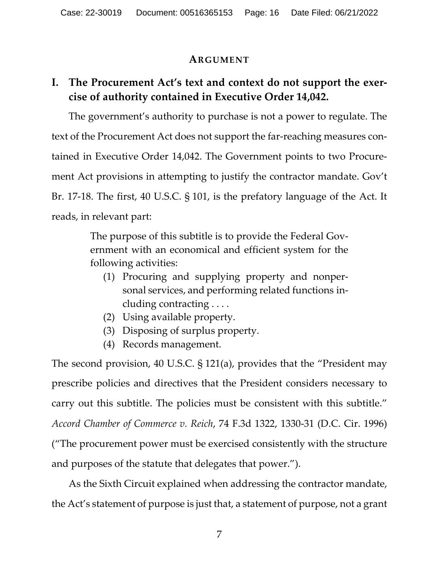### **ARGUMENT**

# <span id="page-15-1"></span><span id="page-15-0"></span>**I. The Procurement Act's text and context do not support the exercise of authority contained in Executive Order 14,042.**

 The government's authority to purchase is not a power to regulate. The text of the Procurement Act does not support the far-reaching measures contained in Executive Order 14,042. The Government points to two Procurement Act provisions in attempting to justify the contractor mandate. Gov't Br. 17-18. The first, 40 U.S.C. § 101, is the prefatory language of the Act. It reads, in relevant part:

> <span id="page-15-3"></span>The purpose of this subtitle is to provide the Federal Government with an economical and efficient system for the following activities:

- (1) Procuring and supplying property and nonpersonal services, and performing related functions including contracting . . . .
- (2) Using available property.
- (3) Disposing of surplus property.
- <span id="page-15-4"></span>(4) Records management.

<span id="page-15-2"></span>The second provision, 40 U.S.C. § 121(a), provides that the "President may prescribe policies and directives that the President considers necessary to carry out this subtitle. The policies must be consistent with this subtitle." *Accord Chamber of Commerce v. Reich*, 74 F.3d 1322, 1330-31 (D.C. Cir. 1996) ("The procurement power must be exercised consistently with the structure and purposes of the statute that delegates that power.").

 As the Sixth Circuit explained when addressing the contractor mandate, the Act's statement of purpose is just that, a statement of purpose, not a grant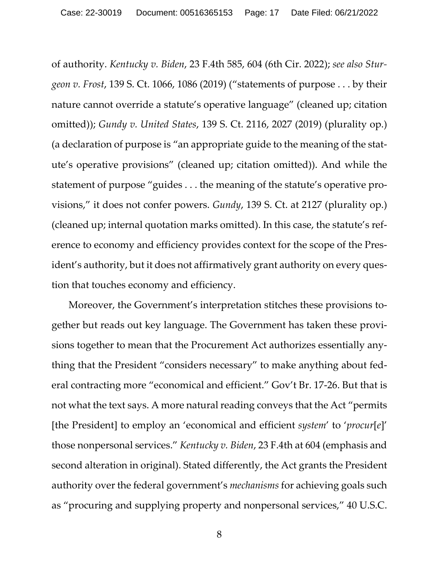<span id="page-16-2"></span><span id="page-16-1"></span><span id="page-16-0"></span>of authority. *Kentucky v. Biden*, 23 F.4th 585, 604 (6th Cir. 2022); *see also Sturgeon v. Frost*, 139 S. Ct. 1066, 1086 (2019) ("statements of purpose . . . by their nature cannot override a statute's operative language" (cleaned up; citation omitted)); *Gundy v. United States*, 139 S. Ct. 2116, 2027 (2019) (plurality op.) (a declaration of purpose is "an appropriate guide to the meaning of the statute's operative provisions" (cleaned up; citation omitted)). And while the statement of purpose "guides . . . the meaning of the statute's operative provisions," it does not confer powers. *Gundy*, 139 S. Ct. at 2127 (plurality op.) (cleaned up; internal quotation marks omitted). In this case, the statute's reference to economy and efficiency provides context for the scope of the President's authority, but it does not affirmatively grant authority on every question that touches economy and efficiency.

<span id="page-16-3"></span> Moreover, the Government's interpretation stitches these provisions together but reads out key language. The Government has taken these provisions together to mean that the Procurement Act authorizes essentially anything that the President "considers necessary" to make anything about federal contracting more "economical and efficient." Gov't Br. 17-26. But that is not what the text says. A more natural reading conveys that the Act "permits [the President] to employ an 'economical and efficient *system*' to '*procur*[*e*]' those nonpersonal services." *Kentucky v. Biden*, 23 F.4th at 604 (emphasis and second alteration in original). Stated differently, the Act grants the President authority over the federal government's *mechanisms* for achieving goals such as "procuring and supplying property and nonpersonal services," 40 U.S.C.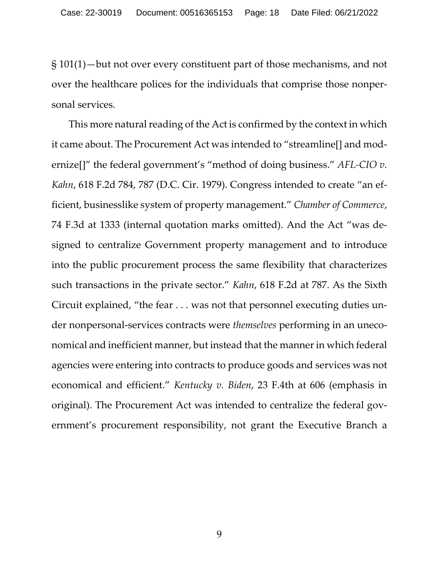§ 101(1)—but not over every constituent part of those mechanisms, and not over the healthcare polices for the individuals that comprise those nonpersonal services.

<span id="page-17-2"></span><span id="page-17-1"></span><span id="page-17-0"></span> This more natural reading of the Act is confirmed by the context in which it came about. The Procurement Act was intended to "streamline[] and modernize[]" the federal government's "method of doing business." *AFL-CIO v. Kahn*, 618 F.2d 784, 787 (D.C. Cir. 1979). Congress intended to create "an efficient, businesslike system of property management." *Chamber of Commerce*, 74 F.3d at 1333 (internal quotation marks omitted). And the Act "was designed to centralize Government property management and to introduce into the public procurement process the same flexibility that characterizes such transactions in the private sector." *Kahn*, 618 F.2d at 787. As the Sixth Circuit explained, "the fear . . . was not that personnel executing duties under nonpersonal-services contracts were *themselves* performing in an uneconomical and inefficient manner, but instead that the manner in which federal agencies were entering into contracts to produce goods and services was not economical and efficient." *Kentucky v. Biden*, 23 F.4th at 606 (emphasis in original). The Procurement Act was intended to centralize the federal government's procurement responsibility, not grant the Executive Branch a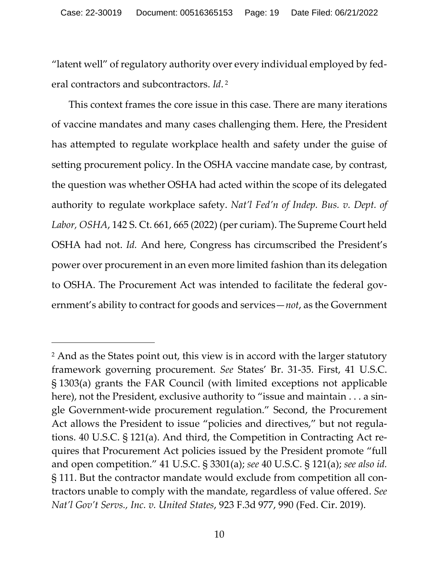<span id="page-18-0"></span>"latent well" of regulatory authority over every individual employed by federal contractors and subcontractors. *Id*. [2](#page-18-2)

<span id="page-18-1"></span> This context frames the core issue in this case. There are many iterations of vaccine mandates and many cases challenging them. Here, the President has attempted to regulate workplace health and safety under the guise of setting procurement policy. In the OSHA vaccine mandate case, by contrast, the question was whether OSHA had acted within the scope of its delegated authority to regulate workplace safety. *Nat'l Fed'n of Indep. Bus. v. Dept. of Labor, OSHA*, 142 S. Ct. 661, 665 (2022) (per curiam). The Supreme Court held OSHA had not. *Id.* And here, Congress has circumscribed the President's power over procurement in an even more limited fashion than its delegation to OSHA. The Procurement Act was intended to facilitate the federal government's ability to contract for goods and services—*not*, as the Government

<span id="page-18-2"></span><sup>2</sup> And as the States point out, this view is in accord with the larger statutory framework governing procurement. *See* States' Br. 31-35. First, 41 U.S.C. § 1303(a) grants the FAR Council (with limited exceptions not applicable here), not the President, exclusive authority to "issue and maintain . . . a single Government-wide procurement regulation." Second, the Procurement Act allows the President to issue "policies and directives," but not regulations. 40 U.S.C. § 121(a). And third, the Competition in Contracting Act requires that Procurement Act policies issued by the President promote "full and open competition." 41 U.S.C. § 3301(a); *see* 40 U.S.C. § 121(a); *see also id.*  § 111. But the contractor mandate would exclude from competition all contractors unable to comply with the mandate, regardless of value offered. *See Nat'l Gov't Servs., Inc. v. United States*, 923 F.3d 977, 990 (Fed. Cir. 2019).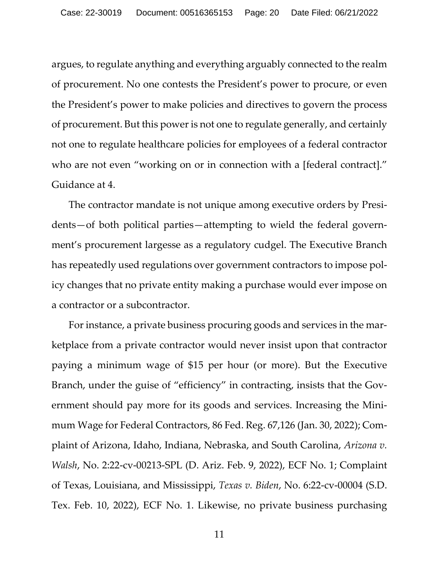argues, to regulate anything and everything arguably connected to the realm of procurement. No one contests the President's power to procure, or even the President's power to make policies and directives to govern the process of procurement. But this power is not one to regulate generally, and certainly not one to regulate healthcare policies for employees of a federal contractor who are not even "working on or in connection with a [federal contract]." Guidance at 4.

<span id="page-19-3"></span> The contractor mandate is not unique among executive orders by Presidents—of both political parties—attempting to wield the federal government's procurement largesse as a regulatory cudgel. The Executive Branch has repeatedly used regulations over government contractors to impose policy changes that no private entity making a purchase would ever impose on a contractor or a subcontractor.

<span id="page-19-2"></span><span id="page-19-1"></span><span id="page-19-0"></span> For instance, a private business procuring goods and services in the marketplace from a private contractor would never insist upon that contractor paying a minimum wage of \$15 per hour (or more). But the Executive Branch, under the guise of "efficiency" in contracting, insists that the Government should pay more for its goods and services. Increasing the Minimum Wage for Federal Contractors, 86 Fed. Reg. 67,126 (Jan. 30, 2022); Complaint of Arizona, Idaho, Indiana, Nebraska, and South Carolina, *Arizona v. Walsh*, No. 2:22-cv-00213-SPL (D. Ariz. Feb. 9, 2022), ECF No. 1; Complaint of Texas, Louisiana, and Mississippi, *Texas v. Biden*, No. 6:22-cv-00004 (S.D. Tex. Feb. 10, 2022), ECF No. 1. Likewise, no private business purchasing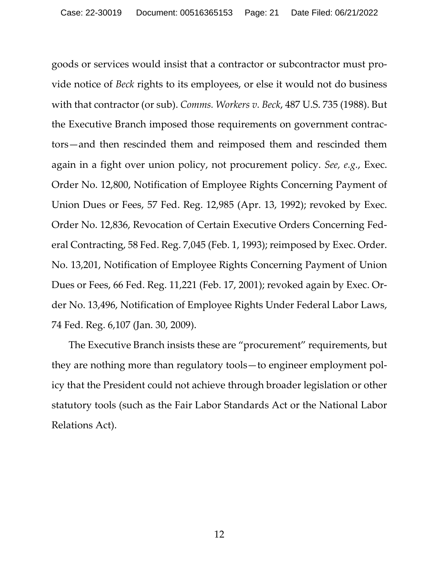<span id="page-20-1"></span><span id="page-20-0"></span>goods or services would insist that a contractor or subcontractor must provide notice of *Beck* rights to its employees, or else it would not do business with that contractor (or sub). *Comms. Workers v. Beck*, 487 U.S. 735 (1988). But the Executive Branch imposed those requirements on government contractors—and then rescinded them and reimposed them and rescinded them again in a fight over union policy, not procurement policy. *See, e.g.*, Exec. Order No. 12,800, Notification of Employee Rights Concerning Payment of Union Dues or Fees, 57 Fed. Reg. 12,985 (Apr. 13, 1992); revoked by Exec. Order No. 12,836, Revocation of Certain Executive Orders Concerning Federal Contracting, 58 Fed. Reg. 7,045 (Feb. 1, 1993); reimposed by Exec. Order. No. 13,201, Notification of Employee Rights Concerning Payment of Union Dues or Fees, 66 Fed. Reg. 11,221 (Feb. 17, 2001); revoked again by Exec. Order No. 13,496, Notification of Employee Rights Under Federal Labor Laws, 74 Fed. Reg. 6,107 (Jan. 30, 2009).

The Executive Branch insists these are "procurement" requirements, but they are nothing more than regulatory tools—to engineer employment policy that the President could not achieve through broader legislation or other statutory tools (such as the Fair Labor Standards Act or the National Labor Relations Act).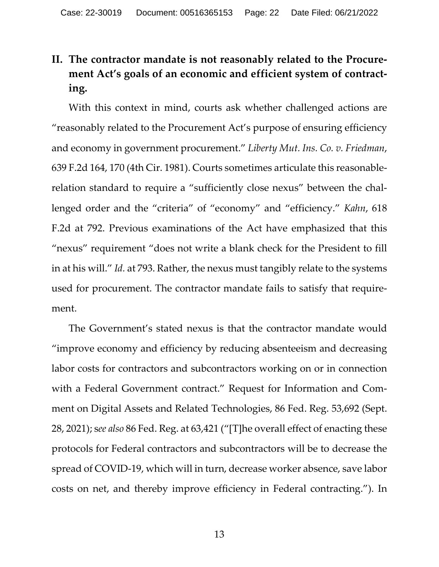# <span id="page-21-0"></span>**II. The contractor mandate is not reasonably related to the Procurement Act's goals of an economic and efficient system of contracting.**

<span id="page-21-2"></span><span id="page-21-1"></span> With this context in mind, courts ask whether challenged actions are "reasonably related to the Procurement Act's purpose of ensuring efficiency and economy in government procurement." *Liberty Mut. Ins. Co. v. Friedman*, 639 F.2d 164, 170 (4th Cir. 1981). Courts sometimes articulate this reasonablerelation standard to require a "sufficiently close nexus" between the challenged order and the "criteria" of "economy" and "efficiency." *Kahn*, 618 F.2d at 792. Previous examinations of the Act have emphasized that this "nexus" requirement "does not write a blank check for the President to fill in at his will." *Id.* at 793. Rather, the nexus must tangibly relate to the systems used for procurement. The contractor mandate fails to satisfy that requirement.

<span id="page-21-4"></span><span id="page-21-3"></span> The Government's stated nexus is that the contractor mandate would "improve economy and efficiency by reducing absenteeism and decreasing labor costs for contractors and subcontractors working on or in connection with a Federal Government contract." Request for Information and Comment on Digital Assets and Related Technologies, 86 Fed. Reg. 53,692 (Sept. 28, 2021); s*ee also* 86 Fed. Reg. at 63,421 ("[T]he overall effect of enacting these protocols for Federal contractors and subcontractors will be to decrease the spread of COVID-19, which will in turn, decrease worker absence, save labor costs on net, and thereby improve efficiency in Federal contracting."). In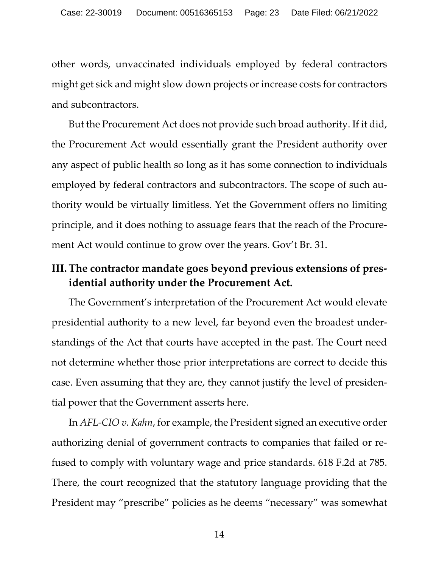other words, unvaccinated individuals employed by federal contractors might get sick and might slow down projects or increase costs for contractors and subcontractors.

But the Procurement Act does not provide such broad authority. If it did, the Procurement Act would essentially grant the President authority over any aspect of public health so long as it has some connection to individuals employed by federal contractors and subcontractors. The scope of such authority would be virtually limitless. Yet the Government offers no limiting principle, and it does nothing to assuage fears that the reach of the Procurement Act would continue to grow over the years. Gov't Br. 31.

## <span id="page-22-0"></span>**III.The contractor mandate goes beyond previous extensions of presidential authority under the Procurement Act.**

 The Government's interpretation of the Procurement Act would elevate presidential authority to a new level, far beyond even the broadest understandings of the Act that courts have accepted in the past. The Court need not determine whether those prior interpretations are correct to decide this case. Even assuming that they are, they cannot justify the level of presidential power that the Government asserts here.

<span id="page-22-1"></span> In *AFL-CIO v. Kahn*, for example, the President signed an executive order authorizing denial of government contracts to companies that failed or refused to comply with voluntary wage and price standards. 618 F.2d at 785. There, the court recognized that the statutory language providing that the President may "prescribe" policies as he deems "necessary" was somewhat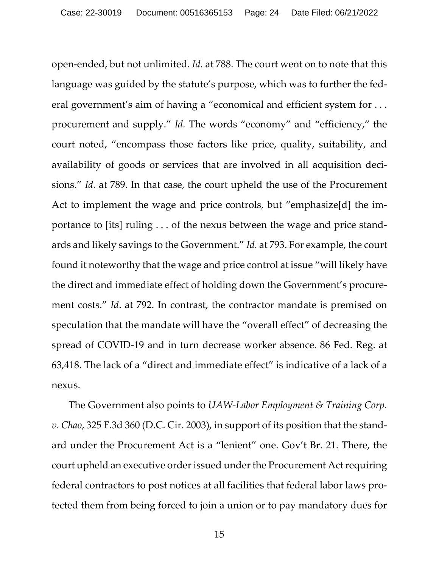<span id="page-23-0"></span>open-ended, but not unlimited. *Id.* at 788. The court went on to note that this language was guided by the statute's purpose, which was to further the federal government's aim of having a "economical and efficient system for . . . procurement and supply." *Id.* The words "economy" and "efficiency," the court noted, "encompass those factors like price, quality, suitability, and availability of goods or services that are involved in all acquisition decisions." *Id.* at 789. In that case, the court upheld the use of the Procurement Act to implement the wage and price controls, but "emphasize[d] the importance to [its] ruling . . . of the nexus between the wage and price standards and likely savings to the Government." *Id.* at 793. For example, the court found it noteworthy that the wage and price control at issue "will likely have the direct and immediate effect of holding down the Government's procurement costs." *Id*. at 792. In contrast, the contractor mandate is premised on speculation that the mandate will have the "overall effect" of decreasing the spread of COVID-19 and in turn decrease worker absence. 86 Fed. Reg. at 63,418. The lack of a "direct and immediate effect" is indicative of a lack of a nexus.

<span id="page-23-2"></span><span id="page-23-1"></span> The Government also points to *UAW-Labor Employment & Training Corp. v. Chao*, 325 F.3d 360 (D.C. Cir. 2003), in support of its position that the standard under the Procurement Act is a "lenient" one. Gov't Br. 21. There, the court upheld an executive order issued under the Procurement Act requiring federal contractors to post notices at all facilities that federal labor laws protected them from being forced to join a union or to pay mandatory dues for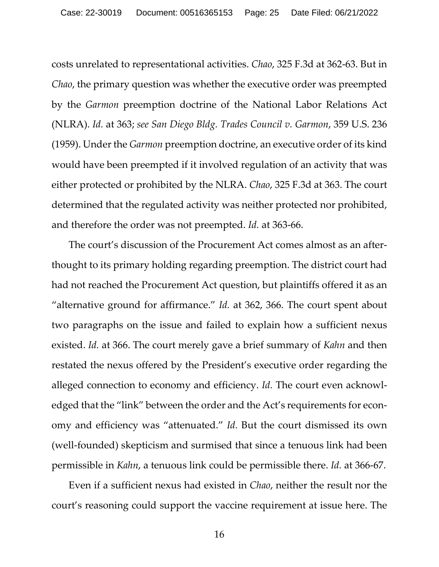<span id="page-24-1"></span><span id="page-24-0"></span>costs unrelated to representational activities. *Chao*, 325 F.3d at 362-63. But in *Chao*, the primary question was whether the executive order was preempted by the *Garmon* preemption doctrine of the National Labor Relations Act (NLRA). *Id.* at 363; *see San Diego Bldg. Trades Council v. Garmon*, 359 U.S. 236 (1959). Under the *Garmon* preemption doctrine, an executive order of its kind would have been preempted if it involved regulation of an activity that was either protected or prohibited by the NLRA. *Chao*, 325 F.3d at 363. The court determined that the regulated activity was neither protected nor prohibited, and therefore the order was not preempted. *Id.* at 363-66.

 The court's discussion of the Procurement Act comes almost as an afterthought to its primary holding regarding preemption. The district court had had not reached the Procurement Act question, but plaintiffs offered it as an "alternative ground for affirmance." *Id.* at 362, 366. The court spent about two paragraphs on the issue and failed to explain how a sufficient nexus existed. *Id.* at 366. The court merely gave a brief summary of *Kahn* and then restated the nexus offered by the President's executive order regarding the alleged connection to economy and efficiency. *Id.* The court even acknowledged that the "link" between the order and the Act's requirements for economy and efficiency was "attenuated." *Id.* But the court dismissed its own (well-founded) skepticism and surmised that since a tenuous link had been permissible in *Kahn*, a tenuous link could be permissible there. *Id.* at 366-67.

 Even if a sufficient nexus had existed in *Chao*, neither the result nor the court's reasoning could support the vaccine requirement at issue here. The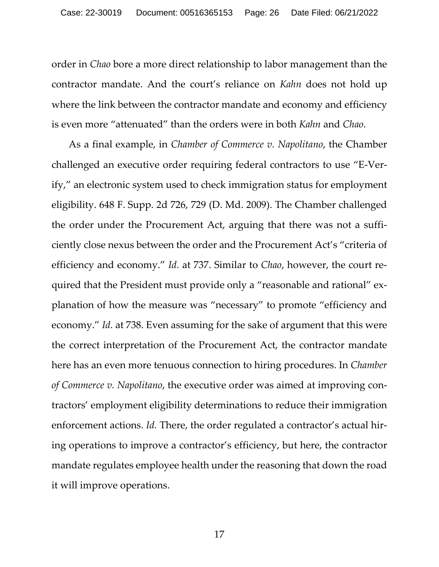order in *Chao* bore a more direct relationship to labor management than the contractor mandate. And the court's reliance on *Kahn* does not hold up where the link between the contractor mandate and economy and efficiency is even more "attenuated" than the orders were in both *Kahn* and *Chao*.

<span id="page-25-0"></span> As a final example, in *Chamber of Commerce v. Napolitano*, the Chamber challenged an executive order requiring federal contractors to use "E-Verify," an electronic system used to check immigration status for employment eligibility. 648 F. Supp. 2d 726, 729 (D. Md. 2009). The Chamber challenged the order under the Procurement Act, arguing that there was not a sufficiently close nexus between the order and the Procurement Act's "criteria of efficiency and economy." *Id.* at 737. Similar to *Chao*, however, the court required that the President must provide only a "reasonable and rational" explanation of how the measure was "necessary" to promote "efficiency and economy." *Id.* at 738. Even assuming for the sake of argument that this were the correct interpretation of the Procurement Act, the contractor mandate here has an even more tenuous connection to hiring procedures. In *Chamber of Commerce v. Napolitano*, the executive order was aimed at improving contractors' employment eligibility determinations to reduce their immigration enforcement actions. *Id.* There, the order regulated a contractor's actual hiring operations to improve a contractor's efficiency, but here, the contractor mandate regulates employee health under the reasoning that down the road it will improve operations.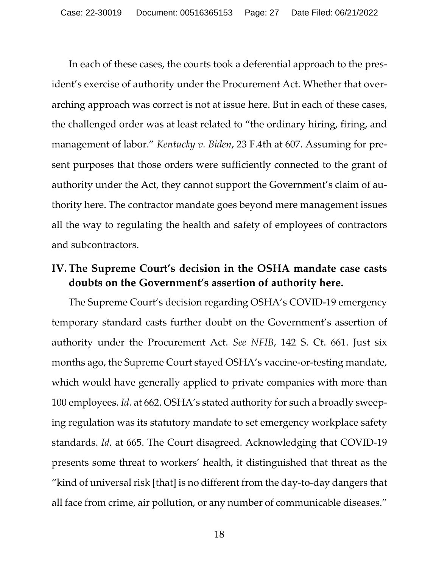<span id="page-26-1"></span>In each of these cases, the courts took a deferential approach to the president's exercise of authority under the Procurement Act. Whether that overarching approach was correct is not at issue here. But in each of these cases, the challenged order was at least related to "the ordinary hiring, firing, and management of labor." *Kentucky v. Biden*, 23 F.4th at 607. Assuming for present purposes that those orders were sufficiently connected to the grant of authority under the Act, they cannot support the Government's claim of authority here. The contractor mandate goes beyond mere management issues all the way to regulating the health and safety of employees of contractors and subcontractors.

## <span id="page-26-0"></span>**IV. The Supreme Court's decision in the OSHA mandate case casts doubts on the Government's assertion of authority here.**

<span id="page-26-2"></span> The Supreme Court's decision regarding OSHA's COVID-19 emergency temporary standard casts further doubt on the Government's assertion of authority under the Procurement Act. *See NFIB*, 142 S. Ct. 661. Just six months ago, the Supreme Court stayed OSHA's vaccine-or-testing mandate, which would have generally applied to private companies with more than 100 employees. *Id.* at 662. OSHA's stated authority for such a broadly sweeping regulation was its statutory mandate to set emergency workplace safety standards. *Id.* at 665. The Court disagreed. Acknowledging that COVID-19 presents some threat to workers' health, it distinguished that threat as the "kind of universal risk [that] is no different from the day-to-day dangers that all face from crime, air pollution, or any number of communicable diseases."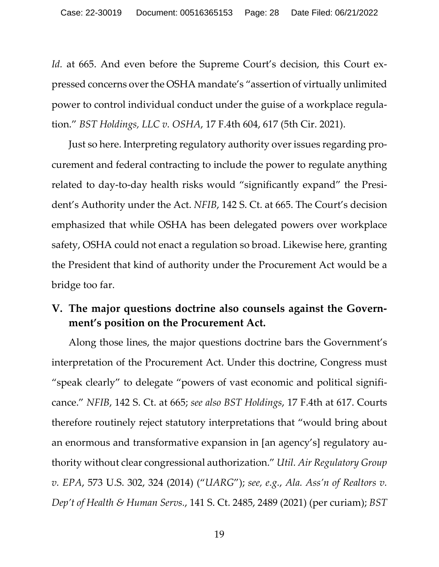<span id="page-27-3"></span>*Id.* at 665. And even before the Supreme Court's decision, this Court expressed concerns over the OSHA mandate's "assertion of virtually unlimited power to control individual conduct under the guise of a workplace regulation." *BST Holdings, LLC v. OSHA*, 17 F.4th 604, 617 (5th Cir. 2021).

<span id="page-27-2"></span> Just so here. Interpreting regulatory authority over issues regarding procurement and federal contracting to include the power to regulate anything related to day-to-day health risks would "significantly expand" the President's Authority under the Act. *NFIB*, 142 S. Ct. at 665. The Court's decision emphasized that while OSHA has been delegated powers over workplace safety, OSHA could not enact a regulation so broad. Likewise here, granting the President that kind of authority under the Procurement Act would be a bridge too far.

# <span id="page-27-0"></span>**V. The major questions doctrine also counsels against the Government's position on the Procurement Act.**

<span id="page-27-4"></span><span id="page-27-1"></span>Along those lines, the major questions doctrine bars the Government's interpretation of the Procurement Act. Under this doctrine, Congress must "speak clearly" to delegate "powers of vast economic and political significance." *NFIB*, 142 S. Ct. at 665; *see also BST Holdings*, 17 F.4th at 617. Courts therefore routinely reject statutory interpretations that "would bring about an enormous and transformative expansion in [an agency's] regulatory authority without clear congressional authorization." *Util. Air Regulatory Group v. EPA*, 573 U.S. 302, 324 (2014) ("*UARG*"); *see, e.g.*, *Ala. Ass'n of Realtors v. Dep't of Health & Human Servs.*, 141 S. Ct. 2485, 2489 (2021) (per curiam); *BST*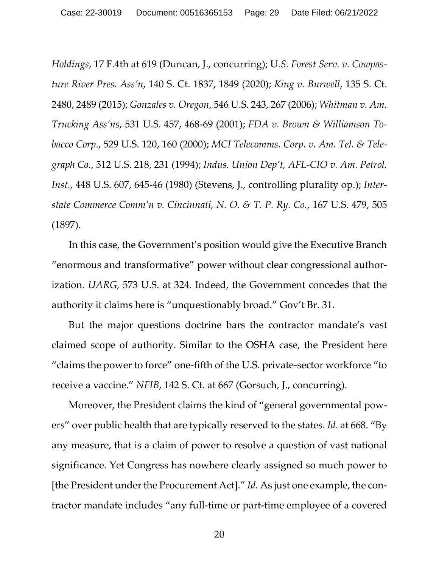<span id="page-28-9"></span><span id="page-28-7"></span><span id="page-28-5"></span><span id="page-28-4"></span><span id="page-28-1"></span><span id="page-28-0"></span>*Holdings*, 17 F.4th at 619 (Duncan, J., concurring); U*.S. Forest Serv. v. Cowpasture River Pres. Ass'n*, 140 S. Ct. 1837, 1849 (2020); *King v. Burwell*, 135 S. Ct. 2480, 2489 (2015); *Gonzales v. Oregon*, 546 U.S. 243, 267 (2006); *Whitman v. Am. Trucking Ass'ns*, 531 U.S. 457, 468-69 (2001); *FDA v. Brown & Williamson Tobacco Corp.*, 529 U.S. 120, 160 (2000); *MCI Telecomms. Corp. v. Am. Tel. & Telegraph Co.*, 512 U.S. 218, 231 (1994); *Indus. Union Dep't, AFL-CIO v. Am. Petrol. Inst.*, 448 U.S. 607, 645-46 (1980) (Stevens, J., controlling plurality op.); *Interstate Commerce Comm'n v. Cincinnati, N. O. & T. P. Ry. Co.*, 167 U.S. 479, 505 (1897).

<span id="page-28-8"></span><span id="page-28-3"></span><span id="page-28-2"></span>In this case, the Government's position would give the Executive Branch "enormous and transformative" power without clear congressional authorization. *UARG*, 573 U.S. at 324. Indeed, the Government concedes that the authority it claims here is "unquestionably broad." Gov't Br. 31.

But the major questions doctrine bars the contractor mandate's vast claimed scope of authority. Similar to the OSHA case, the President here "claims the power to force" one-fifth of the U.S. private-sector workforce "to receive a vaccine." *NFIB*, 142 S. Ct. at 667 (Gorsuch, J., concurring).

<span id="page-28-6"></span>Moreover, the President claims the kind of "general governmental powers" over public health that are typically reserved to the states. *Id.* at 668. "By any measure, that is a claim of power to resolve a question of vast national significance. Yet Congress has nowhere clearly assigned so much power to [the President under the Procurement Act]." *Id.* As just one example, the contractor mandate includes "any full-time or part-time employee of a covered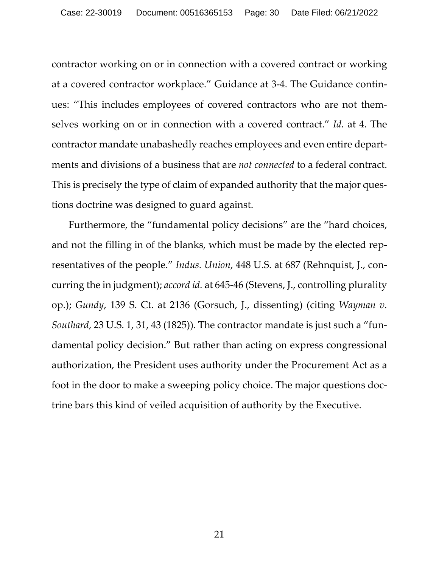<span id="page-29-3"></span>contractor working on or in connection with a covered contract or working at a covered contractor workplace." Guidance at 3-4. The Guidance continues: "This includes employees of covered contractors who are not themselves working on or in connection with a covered contract." *Id.* at 4. The contractor mandate unabashedly reaches employees and even entire departments and divisions of a business that are *not connected* to a federal contract. This is precisely the type of claim of expanded authority that the major questions doctrine was designed to guard against.

<span id="page-29-2"></span><span id="page-29-1"></span><span id="page-29-0"></span> Furthermore, the "fundamental policy decisions" are the "hard choices, and not the filling in of the blanks, which must be made by the elected representatives of the people." *Indus. Union*, 448 U.S. at 687 (Rehnquist, J., concurring the in judgment); *accord id.* at 645-46 (Stevens, J., controlling plurality op.); *Gundy*, 139 S. Ct. at 2136 (Gorsuch, J., dissenting) (citing *Wayman v. Southard*, 23 U.S. 1, 31, 43 (1825)). The contractor mandate is just such a "fundamental policy decision." But rather than acting on express congressional authorization, the President uses authority under the Procurement Act as a foot in the door to make a sweeping policy choice. The major questions doctrine bars this kind of veiled acquisition of authority by the Executive.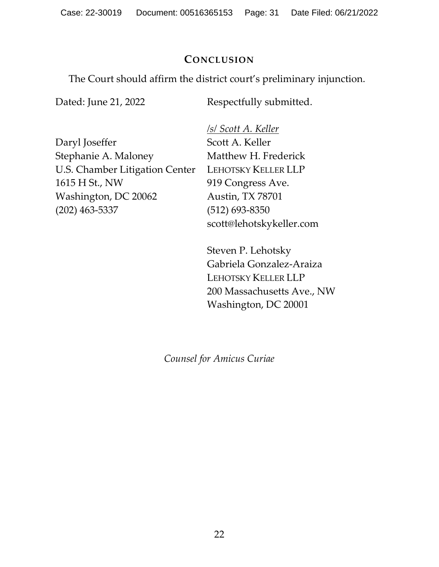Case: 22-30019 Document: 00516365153 Page: 31 Date Filed: 06/21/2022

### **CONCLUSION**

<span id="page-30-0"></span>The Court should affirm the district court's preliminary injunction.

Dated: June 21, 2022

Respectfully submitted.

Daryl Joseffer Stephanie A. Maloney U.S. Chamber Litigation Center 1615 H St., NW Washington, DC 20062 (202) 463-5337

*/s/ Scott A. Keller* Scott A. Keller Matthew H. Frederick LEHOTSKY KELLER LLP 919 Congress Ave. Austin, TX 78701 (512) 693-8350 scott@lehotskykeller.com

Steven P. Lehotsky Gabriela Gonzalez-Araiza LEHOTSKY KELLER LLP 200 Massachusetts Ave., NW Washington, DC 20001

*Counsel for Amicus Curiae*